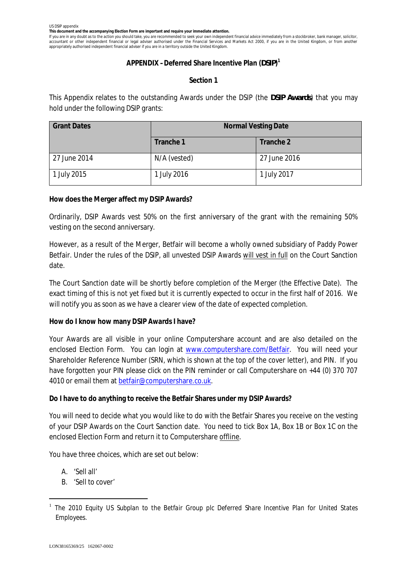**This document and the accompanying Election Form are important and require your immediate attention.**

If you are in any doubt as to the action you should take, you are recommended to seek your own independent financial advice immediately from a stockbroker, bank manager, solicitor, accountant or other independent financial or legal adviser authorised under the Financial Services and Markets Act 2000, if you are in the United Kingdom, or from another appropriately authorised independent financial adviser if you are in a territory outside the United Kingdom.

## **APPENDIX –Deferred Share Incentive Plan (***DSIP***) 1**

# **Section 1**

This Appendix relates to the outstanding Awards under the DSIP (the *DSIP Awards*) that you may hold under the following DSIP grants:

| <b>Grant Dates</b> | <b>Normal Vesting Date</b> |              |
|--------------------|----------------------------|--------------|
|                    | Tranche 1                  | Tranche 2    |
| 27 June 2014       | N/A (vested)               | 27 June 2016 |
| 1 July 2015        | 1 July 2016                | 1 July 2017  |

**How does the Merger affect my DSIP Awards?**

Ordinarily, DSIP Awards vest 50% on the first anniversary of the grant with the remaining 50% vesting on the second anniversary.

However, as a result of the Merger, Betfair will become a wholly owned subsidiary of Paddy Power Betfair. Under the rules of the DSIP, all unvested DSIP Awards will vest in full on the Court Sanction date.

The Court Sanction date will be shortly before completion of the Merger (the Effective Date). The exact timing of this is not yet fixed but it is currently expected to occur in the first half of 2016. We will notify you as soon as we have a clearer view of the date of expected completion.

**How do I know how many DSIP Awards I have?**

Your Awards are all visible in your online Computershare account and are also detailed on the enclosed Election Form. You can login at www.computershare.com/Betfair. You will need your Shareholder Reference Number (SRN, which is shown at the top of the cover letter), and PIN. If you have forgotten your PIN please click on the PIN reminder or call Computershare on +44 (0) 370 707 4010 or email them at betfair@computershare.co.uk.

**Do I have to do anything to receive the Betfair Shares under my DSIP Awards?**

You will need to decide what you would like to do with the Betfair Shares you receive on the vesting of your DSIP Awards on the Court Sanction date. You need to tick Box 1A, Box 1B or Box 1C on the enclosed Election Form and return it to Computershare offline.

You have three choices, which are set out below:

- A. 'Sell all'
- B. 'Sell to cover'

<sup>1</sup> *The 2010 Equity US Subplan to the Betfair Group plc Deferred Share Incentive Plan for United States Employees.*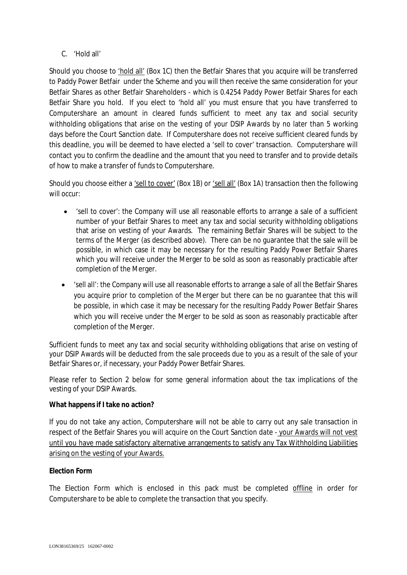C. 'Hold all'

Should you choose to 'hold all' (Box 1C) then the Betfair Shares that you acquire will be transferred to Paddy Power Betfair under the Scheme and you will then receive the same consideration for your Betfair Shares as other Betfair Shareholders - which is 0.4254 Paddy Power Betfair Shares for each Betfair Share you hold. If you elect to 'hold all' you must ensure that you have transferred to Computershare an amount in cleared funds sufficient to meet any tax and social security withholding obligations that arise on the vesting of your DSIP Awards by no later than 5 working days before the Court Sanction date. If Computershare does not receive sufficient cleared funds by this deadline, you will be deemed to have elected a 'sell to cover' transaction. Computershare will contact you to confirm the deadline and the amount that you need to transfer and to provide details of how to make a transfer of funds to Computershare.

Should you choose either a 'sell to cover' (Box 1B) or 'sell all' (Box 1A) transaction then the following will occur:

- · 'sell to cover': the Company will use all reasonable efforts to arrange a sale of a sufficient number of your Betfair Shares to meet any tax and social security withholding obligations that arise on vesting of your Awards. The remaining Betfair Shares will be subject to the terms of the Merger (as described above). There can be no guarantee that the sale will be possible, in which case it may be necessary for the resulting Paddy Power Betfair Shares which you will receive under the Merger to be sold as soon as reasonably practicable after completion of the Merger.
- · 'sell all': the Company will use all reasonable efforts to arrange a sale of all the Betfair Shares you acquire prior to completion of the Merger but there can be no guarantee that this will be possible, in which case it may be necessary for the resulting Paddy Power Betfair Shares which you will receive under the Merger to be sold as soon as reasonably practicable after completion of the Merger.

Sufficient funds to meet any tax and social security withholding obligations that arise on vesting of your DSIP Awards will be deducted from the sale proceeds due to you as a result of the sale of your Betfair Shares or, if necessary, your Paddy Power Betfair Shares.

Please refer to Section 2 below for some general information about the tax implications of the vesting of your DSIP Awards.

# **What happens if I take no action?**

If you do not take any action, Computershare will not be able to carry out any sale transaction in respect of the Betfair Shares you will acquire on the Court Sanction date - your Awards will not vest until you have made satisfactory alternative arrangements to satisfy any Tax Withholding Liabilities arising on the vesting of your Awards.

# **Election Form**

The Election Form which is enclosed in this pack must be completed offline in order for Computershare to be able to complete the transaction that you specify.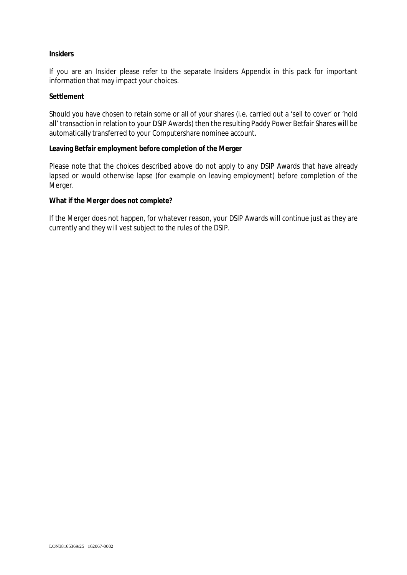### **Insiders**

If you are an Insider please refer to the separate Insiders Appendix in this pack for important information that may impact your choices.

### **Settlement**

Should you have chosen to retain some or all of your shares (i.e. carried out a 'sell to cover' or 'hold all' transaction in relation to your DSIP Awards) then the resulting Paddy Power Betfair Shares will be automatically transferred to your Computershare nominee account.

**Leaving Betfair employment before completion of the Merger**

Please note that the choices described above do not apply to any DSIP Awards that have already lapsed or would otherwise lapse (for example on leaving employment) before completion of the Merger.

**What if the Merger does not complete?**

If the Merger does not happen, for whatever reason, your DSIP Awards will continue just as they are currently and they will vest subject to the rules of the DSIP.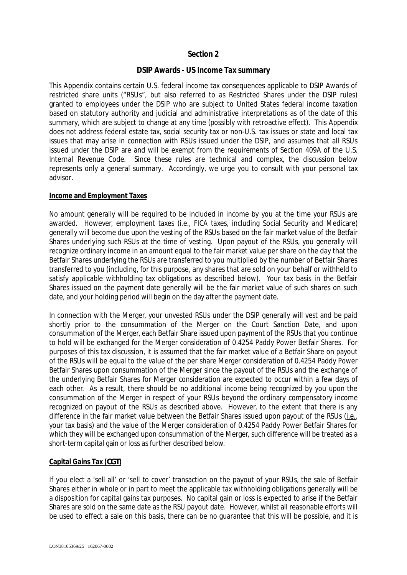# **Section 2**

# **DSIP Awards - US Income Tax summary**

This Appendix contains certain U.S. federal income tax consequences applicable to DSIP Awards of restricted share units ("RSUs", but also referred to as Restricted Shares under the DSIP rules) granted to employees under the DSIP who are subject to United States federal income taxation based on statutory authority and judicial and administrative interpretations as of the date of this summary, which are subject to change at any time (possibly with retroactive effect). This Appendix does not address federal estate tax, social security tax or non-U.S. tax issues or state and local tax issues that may arise in connection with RSUs issued under the DSIP, and assumes that all RSUs issued under the DSIP are and will be exempt from the requirements of Section 409A of the U.S. Internal Revenue Code. Since these rules are technical and complex, the discussion below represents only a general summary. Accordingly, we urge you to consult with your personal tax advisor.

### **Income and Employment Taxes**

No amount generally will be required to be included in income by you at the time your RSUs are awarded. However, employment taxes (i.e., FICA taxes, including Social Security and Medicare) generally will become due upon the vesting of the RSUs based on the fair market value of the Betfair Shares underlying such RSUs at the time of vesting. Upon payout of the RSUs, you generally will recognize ordinary income in an amount equal to the fair market value per share on the day that the Betfair Shares underlying the RSUs are transferred to you multiplied by the number of Betfair Shares transferred to you (including, for this purpose, any shares that are sold on your behalf or withheld to satisfy applicable withholding tax obligations as described below). Your tax basis in the Betfair Shares issued on the payment date generally will be the fair market value of such shares on such date, and your holding period will begin on the day after the payment date.

In connection with the Merger, your unvested RSUs under the DSIP generally will vest and be paid shortly prior to the consummation of the Merger on the Court Sanction Date, and upon consummation of the Merger, each Betfair Share issued upon payment of the RSUs that you continue to hold will be exchanged for the Merger consideration of 0.4254 Paddy Power Betfair Shares. For purposes of this tax discussion, it is assumed that the fair market value of a Betfair Share on payout of the RSUs will be equal to the value of the per share Merger consideration of 0.4254 Paddy Power Betfair Shares upon consummation of the Merger since the payout of the RSUs and the exchange of the underlying Betfair Shares for Merger consideration are expected to occur within a few days of each other. As a result, there should be no additional income being recognized by you upon the consummation of the Merger in respect of your RSUs beyond the ordinary compensatory income recognized on payout of the RSUs as described above. However, to the extent that there is any difference in the fair market value between the Betfair Shares issued upon payout of the RSUs (i.e., your tax basis) and the value of the Merger consideration of 0.4254 Paddy Power Betfair Shares for which they will be exchanged upon consummation of the Merger, such difference will be treated as a short-term capital gain or loss as further described below.

### **Capital Gains Tax (***CGT***)**

If you elect a 'sell all' or 'sell to cover' transaction on the payout of your RSUs, the sale of Betfair Shares either in whole or in part to meet the applicable tax withholding obligations generally will be a disposition for capital gains tax purposes. No capital gain or loss is expected to arise if the Betfair Shares are sold on the same date as the RSU payout date. However, whilst all reasonable efforts will be used to effect a sale on this basis, there can be no guarantee that this will be possible, and it is